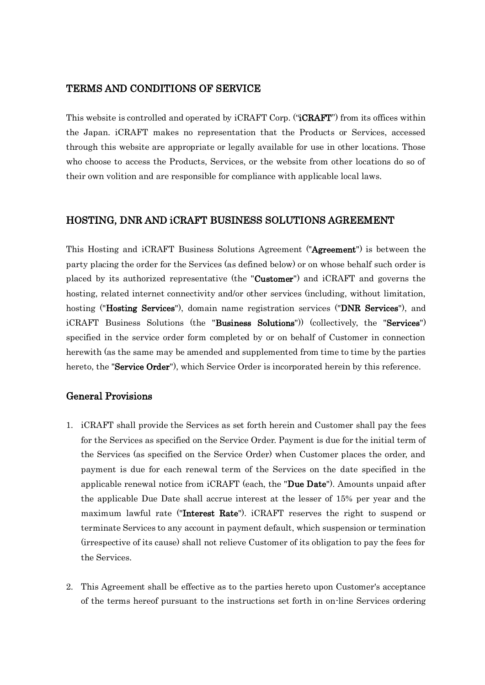## TERMS AND CONDITIONS OF SERVICE

This website is controlled and operated by iCRAFT Corp. ("**iCRAFT**") from its offices within the Japan. iCRAFT makes no representation that the Products or Services, accessed through this website are appropriate or legally available for use in other locations. Those who choose to access the Products, Services, or the website from other locations do so of their own volition and are responsible for compliance with applicable local laws.

## HOSTING, DNR AND iCRAFT BUSINESS SOLUTIONS AGREEMENT

This Hosting and iCRAFT Business Solutions Agreement ("Agreement") is between the party placing the order for the Services (as defined below) or on whose behalf such order is placed by its authorized representative (the "Customer") and iCRAFT and governs the hosting, related internet connectivity and/or other services (including, without limitation, hosting ("Hosting Services"), domain name registration services ("DNR Services"), and iCRAFT Business Solutions (the "Business Solutions")) (collectively, the "Services") specified in the service order form completed by or on behalf of Customer in connection herewith (as the same may be amended and supplemented from time to time by the parties hereto, the "Service Order"), which Service Order is incorporated herein by this reference.

## General Provisions

- 1. iCRAFT shall provide the Services as set forth herein and Customer shall pay the fees for the Services as specified on the Service Order. Payment is due for the initial term of the Services (as specified on the Service Order) when Customer places the order, and payment is due for each renewal term of the Services on the date specified in the applicable renewal notice from iCRAFT (each, the "Due Date"). Amounts unpaid after the applicable Due Date shall accrue interest at the lesser of 15% per year and the maximum lawful rate ("Interest Rate"). iCRAFT reserves the right to suspend or terminate Services to any account in payment default, which suspension or termination (irrespective of its cause) shall not relieve Customer of its obligation to pay the fees for the Services.
- 2. This Agreement shall be effective as to the parties hereto upon Customer's acceptance of the terms hereof pursuant to the instructions set forth in on-line Services ordering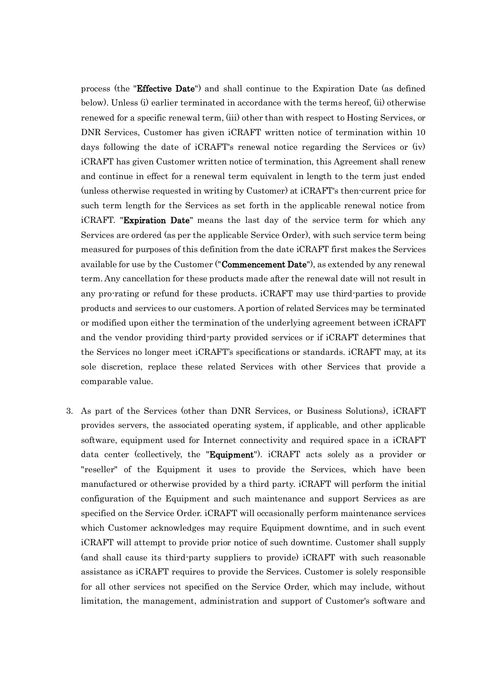process (the "Effective Date") and shall continue to the Expiration Date (as defined below). Unless (i) earlier terminated in accordance with the terms hereof, (ii) otherwise renewed for a specific renewal term, (iii) other than with respect to Hosting Services, or DNR Services, Customer has given iCRAFT written notice of termination within 10 days following the date of iCRAFT's renewal notice regarding the Services or (iv) iCRAFT has given Customer written notice of termination, this Agreement shall renew and continue in effect for a renewal term equivalent in length to the term just ended (unless otherwise requested in writing by Customer) at iCRAFT's then-current price for such term length for the Services as set forth in the applicable renewal notice from iCRAFT. "Expiration Date" means the last day of the service term for which any Services are ordered (as per the applicable Service Order), with such service term being measured for purposes of this definition from the date iCRAFT first makes the Services available for use by the Customer ("**Commencement Date**"), as extended by any renewal term. Any cancellation for these products made after the renewal date will not result in any pro-rating or refund for these products. iCRAFT may use third-parties to provide products and services to our customers. A portion of related Services may be terminated or modified upon either the termination of the underlying agreement between iCRAFT and the vendor providing third-party provided services or if iCRAFT determines that the Services no longer meet iCRAFT's specifications or standards. iCRAFT may, at its sole discretion, replace these related Services with other Services that provide a comparable value.

3. As part of the Services (other than DNR Services, or Business Solutions), iCRAFT provides servers, the associated operating system, if applicable, and other applicable software, equipment used for Internet connectivity and required space in a iCRAFT data center (collectively, the "Equipment"). iCRAFT acts solely as a provider or "reseller" of the Equipment it uses to provide the Services, which have been manufactured or otherwise provided by a third party. iCRAFT will perform the initial configuration of the Equipment and such maintenance and support Services as are specified on the Service Order. iCRAFT will occasionally perform maintenance services which Customer acknowledges may require Equipment downtime, and in such event iCRAFT will attempt to provide prior notice of such downtime. Customer shall supply (and shall cause its third-party suppliers to provide) iCRAFT with such reasonable assistance as iCRAFT requires to provide the Services. Customer is solely responsible for all other services not specified on the Service Order, which may include, without limitation, the management, administration and support of Customer's software and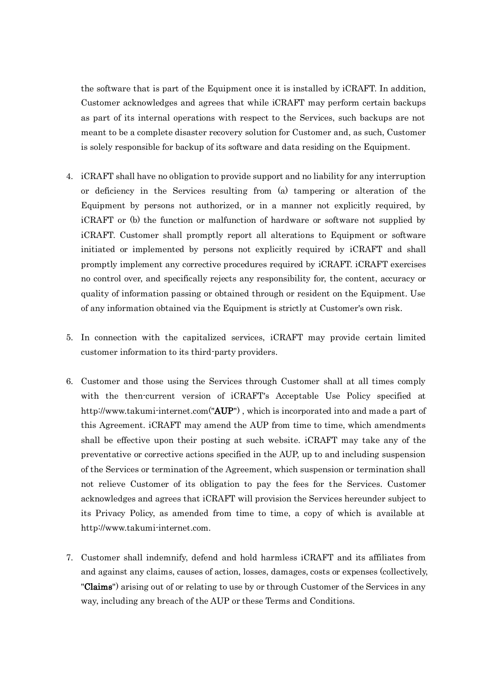the software that is part of the Equipment once it is installed by iCRAFT. In addition, Customer acknowledges and agrees that while iCRAFT may perform certain backups as part of its internal operations with respect to the Services, such backups are not meant to be a complete disaster recovery solution for Customer and, as such, Customer is solely responsible for backup of its software and data residing on the Equipment.

- 4. iCRAFT shall have no obligation to provide support and no liability for any interruption or deficiency in the Services resulting from (a) tampering or alteration of the Equipment by persons not authorized, or in a manner not explicitly required, by iCRAFT or (b) the function or malfunction of hardware or software not supplied by iCRAFT. Customer shall promptly report all alterations to Equipment or software initiated or implemented by persons not explicitly required by iCRAFT and shall promptly implement any corrective procedures required by iCRAFT. iCRAFT exercises no control over, and specifically rejects any responsibility for, the content, accuracy or quality of information passing or obtained through or resident on the Equipment. Use of any information obtained via the Equipment is strictly at Customer's own risk.
- 5. In connection with the capitalized services, iCRAFT may provide certain limited customer information to its third-party providers.
- 6. Customer and those using the Services through Customer shall at all times comply with the then-current version of iCRAFT's Acceptable Use Policy specified at http://www.takumi-internet.com("AUP"), which is incorporated into and made a part of this Agreement. iCRAFT may amend the AUP from time to time, which amendments shall be effective upon their posting at such website. iCRAFT may take any of the preventative or corrective actions specified in the AUP, up to and including suspension of the Services or termination of the Agreement, which suspension or termination shall not relieve Customer of its obligation to pay the fees for the Services. Customer acknowledges and agrees that iCRAFT will provision the Services hereunder subject to its Privacy Policy, as amended from time to time, a copy of which is available at http://www.takumi-internet.com.
- 7. Customer shall indemnify, defend and hold harmless iCRAFT and its affiliates from and against any claims, causes of action, losses, damages, costs or expenses (collectively, "Claims") arising out of or relating to use by or through Customer of the Services in any way, including any breach of the AUP or these Terms and Conditions.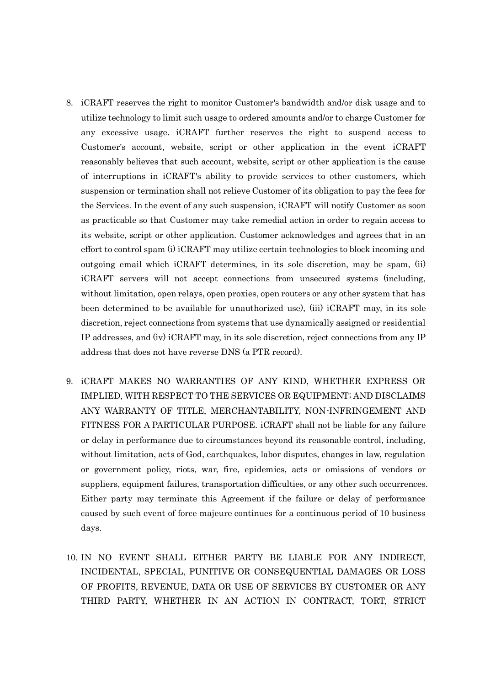- 8. iCRAFT reserves the right to monitor Customer's bandwidth and/or disk usage and to utilize technology to limit such usage to ordered amounts and/or to charge Customer for any excessive usage. iCRAFT further reserves the right to suspend access to Customer's account, website, script or other application in the event iCRAFT reasonably believes that such account, website, script or other application is the cause of interruptions in iCRAFT's ability to provide services to other customers, which suspension or termination shall not relieve Customer of its obligation to pay the fees for the Services. In the event of any such suspension, iCRAFT will notify Customer as soon as practicable so that Customer may take remedial action in order to regain access to its website, script or other application. Customer acknowledges and agrees that in an effort to control spam (i) iCRAFT may utilize certain technologies to block incoming and outgoing email which iCRAFT determines, in its sole discretion, may be spam, (ii) iCRAFT servers will not accept connections from unsecured systems (including, without limitation, open relays, open proxies, open routers or any other system that has been determined to be available for unauthorized use), (iii) iCRAFT may, in its sole discretion, reject connections from systems that use dynamically assigned or residential IP addresses, and (iv) iCRAFT may, in its sole discretion, reject connections from any IP address that does not have reverse DNS (a PTR record).
- 9. iCRAFT MAKES NO WARRANTIES OF ANY KIND, WHETHER EXPRESS OR IMPLIED, WITH RESPECT TO THE SERVICES OR EQUIPMENT; AND DISCLAIMS ANY WARRANTY OF TITLE, MERCHANTABILITY, NON-INFRINGEMENT AND FITNESS FOR A PARTICULAR PURPOSE. iCRAFT shall not be liable for any failure or delay in performance due to circumstances beyond its reasonable control, including, without limitation, acts of God, earthquakes, labor disputes, changes in law, regulation or government policy, riots, war, fire, epidemics, acts or omissions of vendors or suppliers, equipment failures, transportation difficulties, or any other such occurrences. Either party may terminate this Agreement if the failure or delay of performance caused by such event of force majeure continues for a continuous period of 10 business days.
- 10. IN NO EVENT SHALL EITHER PARTY BE LIABLE FOR ANY INDIRECT, INCIDENTAL, SPECIAL, PUNITIVE OR CONSEQUENTIAL DAMAGES OR LOSS OF PROFITS, REVENUE, DATA OR USE OF SERVICES BY CUSTOMER OR ANY THIRD PARTY, WHETHER IN AN ACTION IN CONTRACT, TORT, STRICT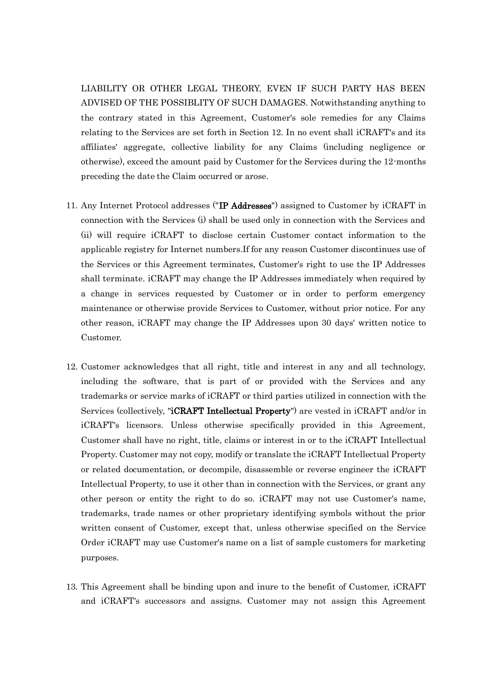LIABILITY OR OTHER LEGAL THEORY, EVEN IF SUCH PARTY HAS BEEN ADVISED OF THE POSSIBLITY OF SUCH DAMAGES. Notwithstanding anything to the contrary stated in this Agreement, Customer's sole remedies for any Claims relating to the Services are set forth in Section 12. In no event shall iCRAFT's and its affiliates' aggregate, collective liability for any Claims (including negligence or otherwise), exceed the amount paid by Customer for the Services during the 12-months preceding the date the Claim occurred or arose.

- 11. Any Internet Protocol addresses ("IP Addresses") assigned to Customer by iCRAFT in connection with the Services (i) shall be used only in connection with the Services and (ii) will require iCRAFT to disclose certain Customer contact information to the applicable registry for Internet numbers.If for any reason Customer discontinues use of the Services or this Agreement terminates, Customer's right to use the IP Addresses shall terminate. iCRAFT may change the IP Addresses immediately when required by a change in services requested by Customer or in order to perform emergency maintenance or otherwise provide Services to Customer, without prior notice. For any other reason, iCRAFT may change the IP Addresses upon 30 days' written notice to Customer.
- 12. Customer acknowledges that all right, title and interest in any and all technology, including the software, that is part of or provided with the Services and any trademarks or service marks of iCRAFT or third parties utilized in connection with the Services (collectively, "iCRAFT Intellectual Property") are vested in iCRAFT and/or in iCRAFT's licensors. Unless otherwise specifically provided in this Agreement, Customer shall have no right, title, claims or interest in or to the iCRAFT Intellectual Property. Customer may not copy, modify or translate the iCRAFT Intellectual Property or related documentation, or decompile, disassemble or reverse engineer the iCRAFT Intellectual Property, to use it other than in connection with the Services, or grant any other person or entity the right to do so. iCRAFT may not use Customer's name, trademarks, trade names or other proprietary identifying symbols without the prior written consent of Customer, except that, unless otherwise specified on the Service Order iCRAFT may use Customer's name on a list of sample customers for marketing purposes.
- 13. This Agreement shall be binding upon and inure to the benefit of Customer, iCRAFT and iCRAFT's successors and assigns. Customer may not assign this Agreement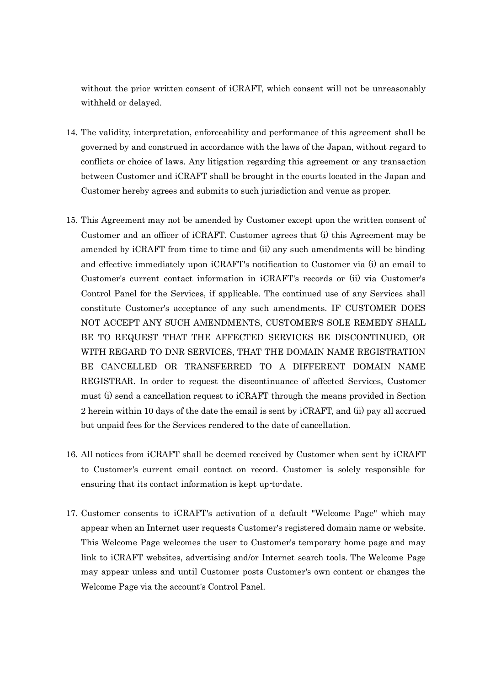without the prior written consent of iCRAFT, which consent will not be unreasonably withheld or delayed.

- 14. The validity, interpretation, enforceability and performance of this agreement shall be governed by and construed in accordance with the laws of the Japan, without regard to conflicts or choice of laws. Any litigation regarding this agreement or any transaction between Customer and iCRAFT shall be brought in the courts located in the Japan and Customer hereby agrees and submits to such jurisdiction and venue as proper.
- 15. This Agreement may not be amended by Customer except upon the written consent of Customer and an officer of iCRAFT. Customer agrees that (i) this Agreement may be amended by iCRAFT from time to time and (ii) any such amendments will be binding and effective immediately upon iCRAFT's notification to Customer via (i) an email to Customer's current contact information in iCRAFT's records or (ii) via Customer's Control Panel for the Services, if applicable. The continued use of any Services shall constitute Customer's acceptance of any such amendments. IF CUSTOMER DOES NOT ACCEPT ANY SUCH AMENDMENTS, CUSTOMER'S SOLE REMEDY SHALL BE TO REQUEST THAT THE AFFECTED SERVICES BE DISCONTINUED, OR WITH REGARD TO DNR SERVICES, THAT THE DOMAIN NAME REGISTRATION BE CANCELLED OR TRANSFERRED TO A DIFFERENT DOMAIN NAME REGISTRAR. In order to request the discontinuance of affected Services, Customer must (i) send a cancellation request to iCRAFT through the means provided in Section 2 herein within 10 days of the date the email is sent by iCRAFT, and (ii) pay all accrued but unpaid fees for the Services rendered to the date of cancellation.
- 16. All notices from iCRAFT shall be deemed received by Customer when sent by iCRAFT to Customer's current email contact on record. Customer is solely responsible for ensuring that its contact information is kept up-to-date.
- 17. Customer consents to iCRAFT's activation of a default "Welcome Page" which may appear when an Internet user requests Customer's registered domain name or website. This Welcome Page welcomes the user to Customer's temporary home page and may link to iCRAFT websites, advertising and/or Internet search tools. The Welcome Page may appear unless and until Customer posts Customer's own content or changes the Welcome Page via the account's Control Panel.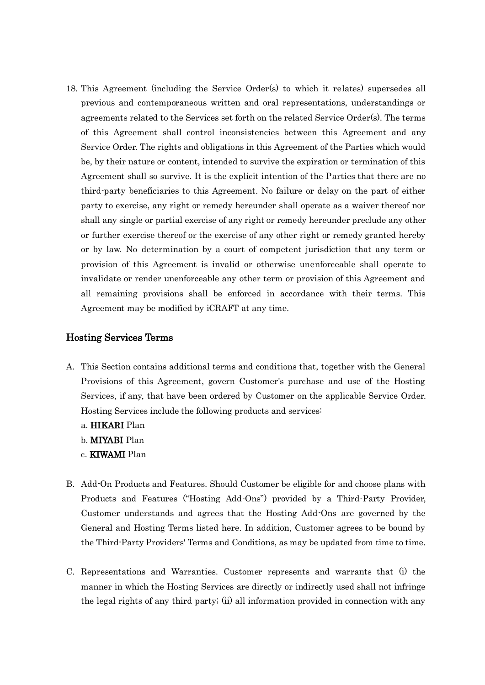18. This Agreement (including the Service Order(s) to which it relates) supersedes all previous and contemporaneous written and oral representations, understandings or agreements related to the Services set forth on the related Service Order(s). The terms of this Agreement shall control inconsistencies between this Agreement and any Service Order. The rights and obligations in this Agreement of the Parties which would be, by their nature or content, intended to survive the expiration or termination of this Agreement shall so survive. It is the explicit intention of the Parties that there are no third-party beneficiaries to this Agreement. No failure or delay on the part of either party to exercise, any right or remedy hereunder shall operate as a waiver thereof nor shall any single or partial exercise of any right or remedy hereunder preclude any other or further exercise thereof or the exercise of any other right or remedy granted hereby or by law. No determination by a court of competent jurisdiction that any term or provision of this Agreement is invalid or otherwise unenforceable shall operate to invalidate or render unenforceable any other term or provision of this Agreement and all remaining provisions shall be enforced in accordance with their terms. This Agreement may be modified by iCRAFT at any time.

## Hosting Services Terms

- A. This Section contains additional terms and conditions that, together with the General Provisions of this Agreement, govern Customer's purchase and use of the Hosting Services, if any, that have been ordered by Customer on the applicable Service Order. Hosting Services include the following products and services:
	- a. HIKARI Plan
	- b. MIYABI Plan
	- c. KIWAMI Plan
- B. Add-On Products and Features. Should Customer be eligible for and choose plans with Products and Features ("Hosting Add-Ons") provided by a Third-Party Provider, Customer understands and agrees that the Hosting Add-Ons are governed by the General and Hosting Terms listed here. In addition, Customer agrees to be bound by the Third-Party Providers' Terms and Conditions, as may be updated from time to time.
- C. Representations and Warranties. Customer represents and warrants that (i) the manner in which the Hosting Services are directly or indirectly used shall not infringe the legal rights of any third party; (ii) all information provided in connection with any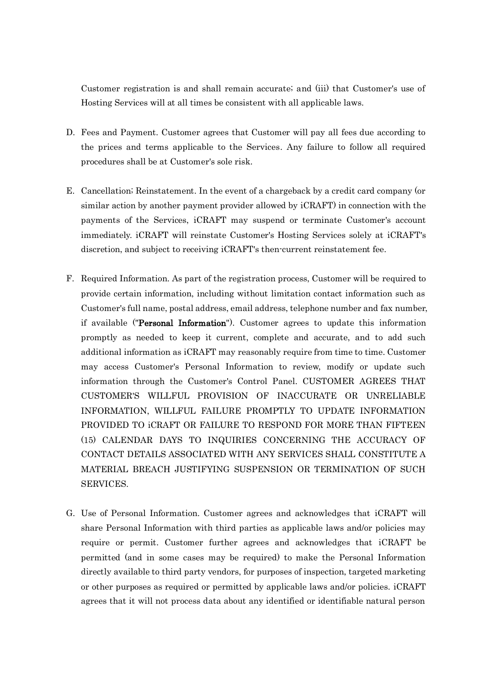Customer registration is and shall remain accurate; and (iii) that Customer's use of Hosting Services will at all times be consistent with all applicable laws.

- D. Fees and Payment. Customer agrees that Customer will pay all fees due according to the prices and terms applicable to the Services. Any failure to follow all required procedures shall be at Customer's sole risk.
- E. Cancellation; Reinstatement. In the event of a chargeback by a credit card company (or similar action by another payment provider allowed by iCRAFT) in connection with the payments of the Services, iCRAFT may suspend or terminate Customer's account immediately. iCRAFT will reinstate Customer's Hosting Services solely at iCRAFT's discretion, and subject to receiving iCRAFT's then-current reinstatement fee.
- F. Required Information. As part of the registration process, Customer will be required to provide certain information, including without limitation contact information such as Customer's full name, postal address, email address, telephone number and fax number, if available ("Personal Information"). Customer agrees to update this information promptly as needed to keep it current, complete and accurate, and to add such additional information as iCRAFT may reasonably require from time to time. Customer may access Customer's Personal Information to review, modify or update such information through the Customer's Control Panel. CUSTOMER AGREES THAT CUSTOMER'S WILLFUL PROVISION OF INACCURATE OR UNRELIABLE INFORMATION, WILLFUL FAILURE PROMPTLY TO UPDATE INFORMATION PROVIDED TO iCRAFT OR FAILURE TO RESPOND FOR MORE THAN FIFTEEN (15) CALENDAR DAYS TO INQUIRIES CONCERNING THE ACCURACY OF CONTACT DETAILS ASSOCIATED WITH ANY SERVICES SHALL CONSTITUTE A MATERIAL BREACH JUSTIFYING SUSPENSION OR TERMINATION OF SUCH SERVICES.
- G. Use of Personal Information. Customer agrees and acknowledges that iCRAFT will share Personal Information with third parties as applicable laws and/or policies may require or permit. Customer further agrees and acknowledges that iCRAFT be permitted (and in some cases may be required) to make the Personal Information directly available to third party vendors, for purposes of inspection, targeted marketing or other purposes as required or permitted by applicable laws and/or policies. iCRAFT agrees that it will not process data about any identified or identifiable natural person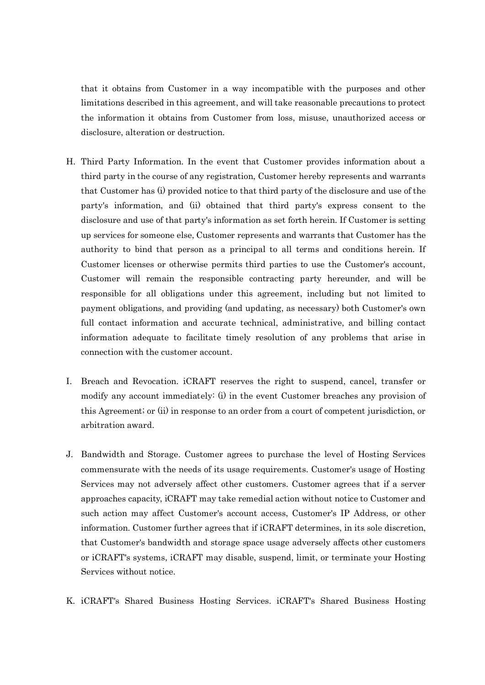that it obtains from Customer in a way incompatible with the purposes and other limitations described in this agreement, and will take reasonable precautions to protect the information it obtains from Customer from loss, misuse, unauthorized access or disclosure, alteration or destruction.

- H. Third Party Information. In the event that Customer provides information about a third party in the course of any registration, Customer hereby represents and warrants that Customer has (i) provided notice to that third party of the disclosure and use of the party's information, and (ii) obtained that third party's express consent to the disclosure and use of that party's information as set forth herein. If Customer is setting up services for someone else, Customer represents and warrants that Customer has the authority to bind that person as a principal to all terms and conditions herein. If Customer licenses or otherwise permits third parties to use the Customer's account, Customer will remain the responsible contracting party hereunder, and will be responsible for all obligations under this agreement, including but not limited to payment obligations, and providing (and updating, as necessary) both Customer's own full contact information and accurate technical, administrative, and billing contact information adequate to facilitate timely resolution of any problems that arise in connection with the customer account.
- I. Breach and Revocation. iCRAFT reserves the right to suspend, cancel, transfer or modify any account immediately: (i) in the event Customer breaches any provision of this Agreement; or (ii) in response to an order from a court of competent jurisdiction, or arbitration award.
- J. Bandwidth and Storage. Customer agrees to purchase the level of Hosting Services commensurate with the needs of its usage requirements. Customer's usage of Hosting Services may not adversely affect other customers. Customer agrees that if a server approaches capacity, iCRAFT may take remedial action without notice to Customer and such action may affect Customer's account access, Customer's IP Address, or other information. Customer further agrees that if iCRAFT determines, in its sole discretion, that Customer's bandwidth and storage space usage adversely affects other customers or iCRAFT's systems, iCRAFT may disable, suspend, limit, or terminate your Hosting Services without notice.
- K. iCRAFT's Shared Business Hosting Services. iCRAFT's Shared Business Hosting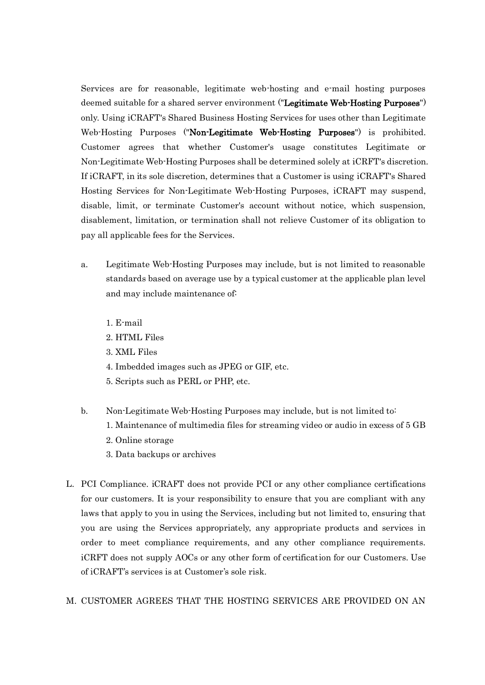Services are for reasonable, legitimate web-hosting and e-mail hosting purposes deemed suitable for a shared server environment ("Legitimate Web-Hosting Purposes") only. Using iCRAFT's Shared Business Hosting Services for uses other than Legitimate Web-Hosting Purposes ("Non-Legitimate Web-Hosting Purposes") is prohibited. Customer agrees that whether Customer's usage constitutes Legitimate or Non-Legitimate Web-Hosting Purposes shall be determined solely at iCRFT's discretion. If iCRAFT, in its sole discretion, determines that a Customer is using iCRAFT's Shared Hosting Services for Non-Legitimate Web-Hosting Purposes, iCRAFT may suspend, disable, limit, or terminate Customer's account without notice, which suspension, disablement, limitation, or termination shall not relieve Customer of its obligation to pay all applicable fees for the Services.

- a. Legitimate Web-Hosting Purposes may include, but is not limited to reasonable standards based on average use by a typical customer at the applicable plan level and may include maintenance of:
	- 1. E-mail
	- 2. HTML Files
	- 3. XML Files
	- 4. Imbedded images such as JPEG or GIF, etc.
	- 5. Scripts such as PERL or PHP, etc.
- b. Non-Legitimate Web-Hosting Purposes may include, but is not limited to:
	- 1. Maintenance of multimedia files for streaming video or audio in excess of 5 GB
	- 2. Online storage
	- 3. Data backups or archives
- L. PCI Compliance. iCRAFT does not provide PCI or any other compliance certifications for our customers. It is your responsibility to ensure that you are compliant with any laws that apply to you in using the Services, including but not limited to, ensuring that you are using the Services appropriately, any appropriate products and services in order to meet compliance requirements, and any other compliance requirements. iCRFT does not supply AOCs or any other form of certification for our Customers. Use of iCRAFT's services is at Customer's sole risk.
- M. CUSTOMER AGREES THAT THE HOSTING SERVICES ARE PROVIDED ON AN